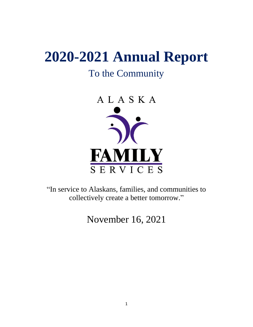# **2020-2021 Annual Report**

## To the Community



"In service to Alaskans, families, and communities to collectively create a better tomorrow."

November 16, 2021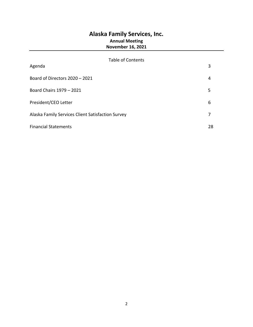#### **Alaska Family Services, Inc. Annual Meeting November 16, 2021**

## Table of Contents Agenda 3 Board of Directors 2020 – 2021 4 Board Chairs 1979 – 2021 5 President/CEO Letter 6 Alaska Family Services Client Satisfaction Survey **7** and  $\overline{7}$ Financial Statements 28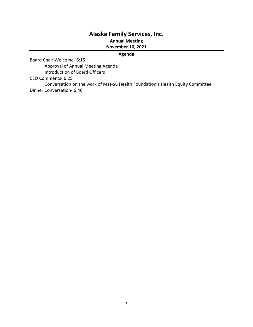### **Alaska Family Services, Inc.**

#### **Annual Meeting**

**November 16, 2021**

#### **Agenda**

Board Chair Welcome- 6:15

Approval of Annual Meeting Agenda Introduction of Board Officers

CEO Comments- 6:25

Conversation on the work of Mat-Su Health Foundation's Health Equity Committee Dinner Conversation- 6:40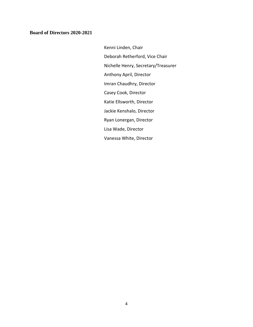#### **Board of Directors 2020-2021**

Kenni Linden, Chair Deborah Retherford, Vice Chair Nichelle Henry, Secretary/Treasurer Anthony April, Director Imran Chaudhry, Director Casey Cook, Director Katie Ellsworth, Director Jackie Kenshalo, Director Ryan Lonergan, Director Lisa Wade, Director Vanessa White, Director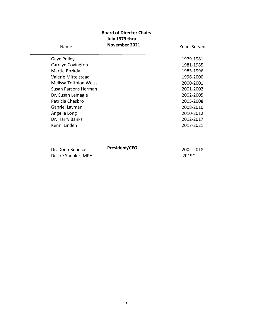#### **Board of Director Chairs July 1979 thru November 2021**

| Name                          | November 2021 | <b>Years Served</b> |
|-------------------------------|---------------|---------------------|
| Gaye Pulley                   |               | 1979-1981           |
| Carolyn Covington             |               | 1981-1985           |
| Martie Rozkdal                |               | 1985-1996           |
| Valerie Mittelstead           |               | 1996-2000           |
| <b>Melissa Toffolon Weiss</b> |               | 2000-2001           |
| Susan Parsons Herman          |               | 2001-2002           |
| Dr. Susan Lemagie             |               | 2002-2005           |
| Patricia Chesbro              |               | 2005-2008           |
| Gabriel Layman                |               | 2008-2010           |
| Angella Long                  |               | 2010-2012           |
| Dr. Harry Banks               |               | 2012-2017           |
| Kenni Linden                  |               | 2017-2021           |
|                               |               |                     |
| Dr. Donn Bennice              | President/CEO | 2002-2018           |
| Desiré Shepler; MPH           |               | 2019*               |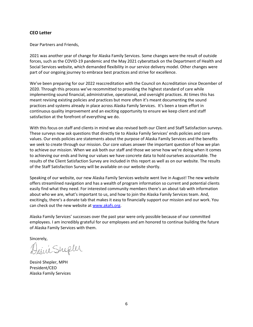#### **CEO Letter**

Dear Partners and Friends,

2021 was another year of change for Alaska Family Services. Some changes were the result of outside forces, such as the COVID-19 pandemic and the May 2021 cyberattack on the Department of Health and Social Services website, which demanded flexibility in our service delivery model. Other changes were part of our ongoing journey to embrace best practices and strive for excellence.

We've been preparing for our 2022 reaccreditation with the Council on Accreditation since December of 2020. Through this process we've recommitted to providing the highest standard of care while implementing sound financial, administrative, operational, and oversight practices. At times this has meant revising existing policies and practices but more often it's meant documenting the sound practices and systems already in place across Alaska Family Services. It's been a team effort in continuous quality improvement and an exciting opportunity to ensure we keep client and staff satisfaction at the forefront of everything we do.

With this focus on staff and clients in mind we also revised both our Client and Staff Satisfaction surveys. These surveys now ask questions that directly tie to Alaska Family Services' ends policies and core values. Our ends policies are statements about the purpose of Alaska Family Services and the benefits we seek to create through our mission. Our core values answer the important question of how we plan to achieve our mission. When we ask both our staff and those we serve how we're doing when it comes to achieving our ends and living our values we have concrete data to hold ourselves accountable. The results of the Client Satisfaction Survey are included in this report as well as on our website. The results of the Staff Satisfaction Survey will be available on our website shortly.

Speaking of our website, our new Alaska Family Services website went live in August! The new website offers streamlined navigation and has a wealth of program information so current and potential clients easily find what they need. For interested community members there's an about tab with information about who we are, what's important to us, and how to join the Alaska Family Services team. And, excitingly, there's a donate tab that makes it easy to financially support our mission and our work. You can check out the new website at [www.akafs.org.](http://www.akafs.org/)

Alaska Family Services' successes over the past year were only possible because of our committed employees. I am incredibly grateful for our employees and am honored to continue building the future of Alaska Family Services with them.

Sincerely,

Desire Shephe

Desiré Shepler, MPH President/CEO Alaska Family Services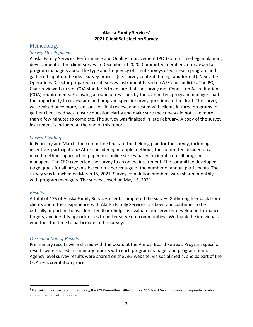#### **Alaska Family Services' 2021 Client Satisfaction Survey**

#### Methodology

#### *Survey Development*

Alaska Family Services' Performance and Quality Improvement (PQI) Committee began planning development of the client survey in December of 2020. Committee members interviewed all program managers about the type and frequency of client surveys used in each program and gathered input on the ideal survey process (i.e. survey content, timing, and format). Next, the Operations Director prepared a draft survey instrument based on AFS ends policies. The PQI Chair reviewed current COA standards to ensure that the survey met Council on Accreditation (COA) requirements. Following a round of revisions by the committee, program managers had the opportunity to review and add program-specific survey questions to the draft. The survey was revised once more, sent out for final review, and tested with clients in three programs to gather client feedback, ensure question clarity and make sure the survey did not take more than a few minutes to complete. The survey was finalized in late February. A copy of the survey instrument is included at the end of this report.

#### *Survey Fielding*

In February and March, the committee finalized the fielding plan for the survey, including incentives participation.<sup>1</sup> After considering multiple methods, the committee decided on a mixed-methods approach of paper and online survey based on input from all program managers. The CEO converted the survey to an online instrument. The committee developed target goals for all programs based on a percentage of the number of annual participants. The survey was launched on March 15, 2021. Survey completion numbers were shared monthly with program managers. The survey closed on May 15, 2021.

#### *Results*

 $\overline{a}$ 

A total of 175 of Alaska Family Services clients completed the survey. Gathering feedback from clients about their experience with Alaska Family Services has been and continues to be critically important to us. Client feedback helps us evaluate our services, develop performance targets, and identify opportunities to better serve our communities. We thank the individuals who took the time to participate in this survey.

#### *Dissemination of Results*

Preliminary results were shared with the board at the Annual Board Retreat. Program specific results were shared in summary reports with each program manager and program team. Agency level survey results were shared on the AFS website, via social media, and as part of the COA re-accreditation process.

<sup>&</sup>lt;sup>1</sup> Following the close date of the survey, the PQI Committee raffled off four \$50 Fred Meyer gift cards to respondents who entered their email in the raffle.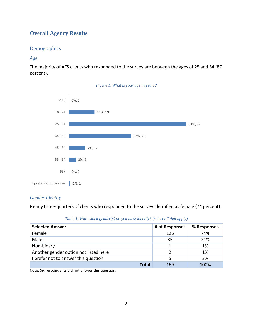#### **Overall Agency Results**

#### Demographics

#### *Age*

The majority of AFS clients who responded to the survey are between the ages of 25 and 34 (87 percent).





#### *Gender Identity*

Nearly three-quarters of clients who responded to the survey identified as female (74 percent).

|  |  | Table 1. With which gender(s) do you most identify? (select all that apply) |  |  |  |
|--|--|-----------------------------------------------------------------------------|--|--|--|
|--|--|-----------------------------------------------------------------------------|--|--|--|

| <b>Selected Answer</b>                | # of Responses | % Responses |
|---------------------------------------|----------------|-------------|
| Female                                | 126            | 74%         |
| Male                                  | 35             | 21%         |
| Non-binary                            |                | 1%          |
| Another gender option not listed here |                | 1%          |
| I prefer not to answer this question  | 5              | 3%          |
| Total                                 | 169            | 100%        |

Note: Six respondents did not answer this question.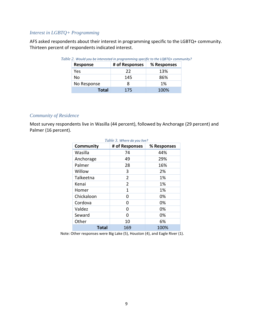#### *Interest in LGBTQ+ Programming*

AFS asked respondents about their interest in programming specific to the LGBTQ+ community. Thirteen percent of respondents indicated interest.

| <b>Response</b> | # of Responses | % Responses |
|-----------------|----------------|-------------|
| Yes             | 22             | 13%         |
| Nο              | 145            | 86%         |
| No Response     |                | 1%          |
| Total           | 175            | 100%        |

*Table 2. Would you be interested in programming specific to the LQBTQ+ community?*

#### *Community of Residence*

Most survey respondents live in Wasilla (44 percent), followed by Anchorage (29 percent) and Palmer (16 percent).

| Table 3. Where do you live? |                |             |  |  |
|-----------------------------|----------------|-------------|--|--|
| Community                   | # of Responses | % Responses |  |  |
| Wasilla                     | 74             | 44%         |  |  |
| Anchorage                   | 49             | 29%         |  |  |
| Palmer                      | 28             | 16%         |  |  |
| Willow                      | 3              | 2%          |  |  |
| Talkeetna                   | $\overline{2}$ | 1%          |  |  |
| Kenai                       | $\overline{2}$ | 1%          |  |  |
| Homer                       | 1              | 1%          |  |  |
| Chickaloon                  | 0              | 0%          |  |  |
| Cordova                     | ი              | 0%          |  |  |
| Valdez                      | 0              | 0%          |  |  |
| Seward                      | n              | 0%          |  |  |
| Other                       | 10             | 6%          |  |  |
| <b>Total</b><br>169<br>100% |                |             |  |  |

Note: Other responses were Big Lake (5), Houston (4), and Eagle River (1).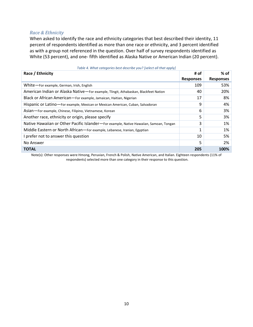#### *Race & Ethnicity*

When asked to identify the race and ethnicity categories that best described their identity, 11 percent of respondents identified as more than one race or ethnicity, and 3 percent identified as with a group not referenced in the question. Over half of survey respondents identified as White (53 percent), and one- fifth identified as Alaska Native or American Indian (20 percent).

| Race / Ethnicity                                                                       | # of             | $%$ of           |
|----------------------------------------------------------------------------------------|------------------|------------------|
|                                                                                        | <b>Responses</b> | <b>Responses</b> |
| White-For example, German, Irish, English                                              | 109              | 53%              |
| American Indian or Alaska Native-For example, Tlingit, Athabaskan, Blackfeet Nation    | 40               | 20%              |
| Black or African American-For example, Jamaican, Haitian, Nigerian                     | 17               | 8%               |
| Hispanic or Latino—For example, Mexican or Mexican American, Cuban, Salvadoran         | 9                | 4%               |
| Asian - For example, Chinese, Filipino, Vietnamese, Korean                             | 6                | 3%               |
| Another race, ethnicity or origin, please specify                                      | 5                | 3%               |
| Native Hawaiian or Other Pacific Islander-For example, Native Hawaiian, Samoan, Tongan | 3                | 1%               |
| Middle Eastern or North African-For example, Lebanese, Iranian, Egyptian               | 1                | 1%               |
| prefer not to answer this question                                                     | 10               | 5%               |
| No Answer                                                                              | 5                | 2%               |
| <b>TOTAL</b>                                                                           | 205              | 100%             |
|                                                                                        |                  |                  |

Note(s): Other responses were Hmong, Peruvian, French & Polish, Native American, and Italian. Eighteen respondents (11% of respondents) selected more than one category in their response to this question.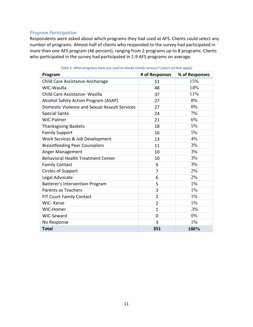#### *Program Participation*

Respondents were asked about which programs they had used at AFS. Clients could select any number of programs. Almost half of clients who responded to the survey had participated in more than one AFS program (46 percent), ranging from 2 programs up to 8 programs. Clients who participated in the survey had participated in 1.9 AFS programs on average.

| Program                                       | # of Responses | % of Responses |
|-----------------------------------------------|----------------|----------------|
| Child Care Assistance-Anchorage               | 51             | 15%            |
| WIC-Wasilla                                   | 48             | 14%            |
| Child Care Assistance- Wasilla                | 37             | 11%            |
| Alcohol Safety Action Program (ASAP)          | 27             | 8%             |
| Domestic Violence and Sexual Assault Services | 27             | 8%             |
| Special Santa                                 | 24             | 7%             |
| WIC-Palmer                                    | 21             | 6%             |
| <b>Thanksgiving Baskets</b>                   | 18             | 5%             |
| <b>Family Support</b>                         | 16             | 5%             |
| Work Services & Job Development               | 13             | 4%             |
| <b>Breastfeeding Peer Counselors</b>          | 11             | 3%             |
| Anger Management                              | 10             | 3%             |
| <b>Behavioral Health Treatment Center</b>     | 10             | 3%             |
| <b>Family Contact</b>                         | 9              | 3%             |
| Circles of Support                            | $\overline{7}$ | 2%             |
| Legal Advocate                                | 6              | 2%             |
| Batterer's Intervention Program               | 5              | 1%             |
| Parents as Teachers                           | 3              | 1%             |
| FIT Court Family Contact                      | $\overline{2}$ | 1%             |
| WIC-Kenai                                     | $\overline{2}$ | 1%             |
| WIC-Homer                                     | $\mathbf{1}$   | .3%            |
| WIC-Seward                                    | 0              | 0%             |
| No Response                                   | 3              | 1%             |
| <b>Total</b>                                  | 351            | 100%           |

*Table 5. What programs have you used at Alaska Family Services? [select all that apply]*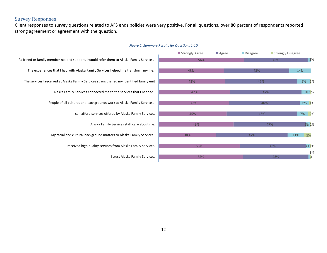#### Survey Responses

Client responses to survey questions related to AFS ends policies were very positive. For all questions, over 80 percent of respondents reported strong agreement or agreement with the question.



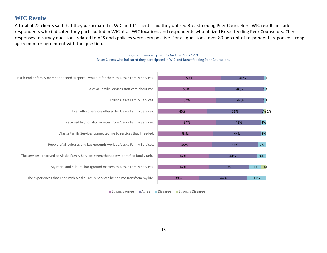#### **WIC Results**

A total of 72 clients said that they participated in WIC and 11 clients said they utilized Breastfeeding Peer Counselors. WIC results include respondents who indicated they participated in WIC at all WIC locations and respondents who utilized Breastfeeding Peer Counselors. Client responses to survey questions related to AFS ends policies were very positive. For all questions, over 80 percent of respondents reported strong agreement or agreement with the question.



*Figure 3. Summary Results for Questions 1-10* Base: Clients who indicated they participated in WIC and Breastfeeding Peer Counselors.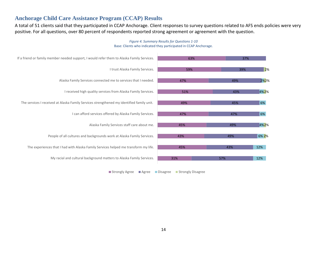#### **Anchorage Child Care Assistance Program (CCAP) Results**

A total of 51 clients said that they participated in CCAP Anchorage. Client responses to survey questions related to AFS ends policies were very positive. For all questions, over 80 percent of respondents reported strong agreement or agreement with the question.



#### *Figure 4. Summary Results for Questions 1-10* Base: Clients who indicated they participated in CCAP Anchorage.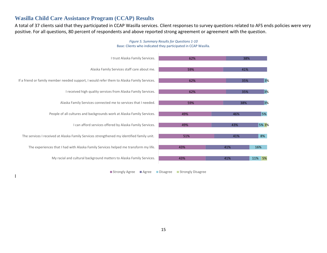#### **Wasilla Child Care Assistance Program (CCAP) Results**

A total of 37 clients said that they participated in CCAP Wasilla services. Client responses to survey questions related to AFS ends policies were very positive. For all questions, 80 percent of respondents and above reported strong agreement or agreement with the question.



#### *Figure 5. Summary Results for Questions 1-10* Base: Clients who indicated they participated in CCAP Wasilla.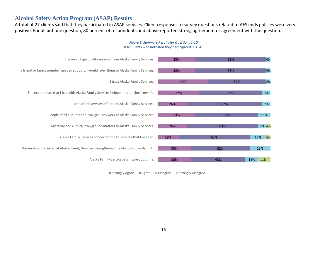#### **Alcohol Safety Action Program (ASAP) Results**

A total of 27 clients said that they participated in ASAP services. Client responses to survey questions related to AFS ends policies were very positive. For all but one question, 80 percent of respondents and above reported strong agreement or agreement with the question.



#### *Figure 6. Summary Results for Questions 1-10* Base: Clients who indicated they participated in ASAP.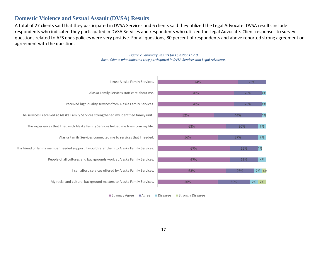#### **Domestic Violence and Sexual Assault (DVSA) Results**

A total of 27 clients said that they participated in DVSA Services and 6 clients said they utilized the Legal Advocate. DVSA results include respondents who indicated they participated in DVSA Services and respondents who utilized the Legal Advocate. Client responses to survey questions related to AFS ends policies were very positive. For all questions, 80 percent of respondents and above reported strong agreement or agreement with the question.

> *Figure 7. Summary Results for Questions 1-10 Base: Clients who indicated they participated in DVSA Services and Legal Advocate.*

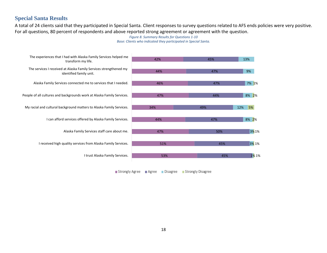#### **Special Santa Results**

A total of 24 clients said that they participated in Special Santa. Client responses to survey questions related to AFS ends policies were very positive. For all questions, 80 percent of respondents and above reported strong agreement or agreement with the question.

#### *Figure 8. Summary Results for Questions 1-10 Base: Clients who indicated they participated in Special Santa.*

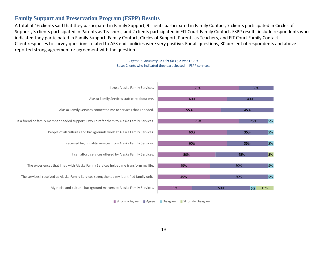#### **Family Support and Preservation Program (FSPP) Results**

A total of 16 clients said that they participated in Family Support, 9 clients participated in Family Contact, 7 clients participated in Circles of Support, 3 clients participated in Parents as Teachers, and 2 clients participated in FIT Court Family Contact. FSPP results include respondents who indicated they participated in Family Support, Family Contact, Circles of Support, Parents as Teachers, and FIT Court Family Contact. Client responses to survey questions related to AFS ends policies were very positive. For all questions, 80 percent of respondents and above reported strong agreement or agreement with the question.



*Figure 9. Summary Results for Questions 1-10*  Base: Clients who indicated they participated in FSPP services.

■ Strongly Agree ■ Agree ■ Disagree ■ Strongly Disagree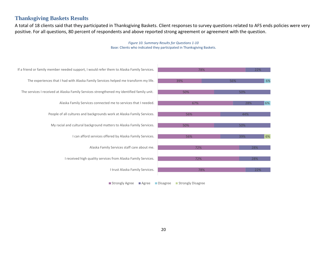#### **Thanksgiving Baskets Results**

A total of 18 clients said that they participated in Thanksgiving Baskets. Client responses to survey questions related to AFS ends policies were very positive. For all questions, 80 percent of respondents and above reported strong agreement or agreement with the question.

> *Figure 10. Summary Results for Questions 1-10*  Base: Clients who indicated they participated in Thanksgiving Baskets.



Strongly Agree Agree Disagree Strongly Disagree

20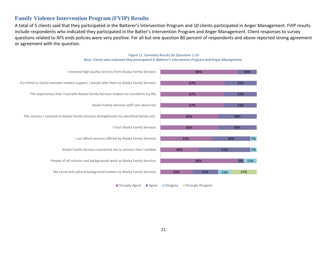#### **Family Violence Intervention Program (FVIP) Results**

A total of 5 clients said that they participated in the Batterer's Intervention Program and 10 clients participated in Anger Management. FVIP results include respondents who indicated they participated in the Batter's Intervention Program and Anger Management. Client responses to survey questions related to AFS ends policies were very positive. For all but one question 80 percent of respondents and above reported strong agreement or agreement with the question.

#### 33% 80% 40% 53% 60% 60% 67% 67% 67% 80% 27% 7% 53% 40% 40% 40% 33% 33% 33% 20% 13% 13% 7% 7% My racial and cultural background matters to Alaska Family Services. 23% 27% 27% 27% 27% 27% People of all cultures and backgrounds work at Alaska Family Services. Alaska Family Services connected me to services that I needed. I can afford services offered by Alaska Family Services. I trust Alaska Family Services. The services I received at Alaska Family Services strengthened my identified family unit. Alaska Family Services staff care about me. The experiences that I had with Alaska Family Services helped me transform my life. If a friend or family member needed support, I would refer them to Alaska Family Services. I received high quality services from Alaska Family Services.

*Figure 11. Summary Results for Questions 1-10 Base: Clients who indicated they participated in Batterer's Intervention Program and Anger Management.*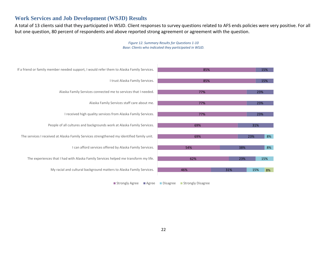#### **Work Services and Job Development (WSJD) Results**

A total of 13 clients said that they participated in WSJD. Client responses to survey questions related to AFS ends policies were very positive. For all but one question, 80 percent of respondents and above reported strong agreement or agreement with the question.



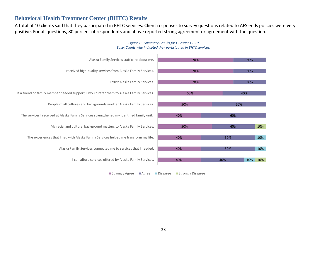#### **Behavioral Health Treatment Center (BHTC) Results**

A total of 10 clients said that they participated in BHTC services. Client responses to survey questions related to AFS ends policies were very positive. For all questions, 80 percent of respondents and above reported strong agreement or agreement with the question.



#### *Figure 13. Summary Results for Questions 1-10 Base: Clients who indicated they participated in BHTC services.*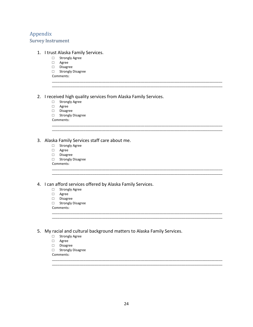#### Appendix

#### Survey Instrument

#### 1. I trust Alaska Family Services.

- □ Strongly Agree
- □ Agree
- □ Disagree
- □ Strongly Disagree
- Comments: \_\_\_\_\_\_\_\_\_\_\_\_\_\_\_\_\_\_\_\_\_\_\_\_\_\_\_\_\_\_\_\_\_\_\_\_\_\_\_\_\_\_\_\_\_\_\_\_\_\_\_\_\_\_\_\_\_\_\_\_\_\_\_\_\_\_\_\_\_\_\_\_\_\_\_\_\_\_\_\_\_\_\_\_\_\_\_\_\_\_\_\_

2. I received high quality services from Alaska Family Services.

\_\_\_\_\_\_\_\_\_\_\_\_\_\_\_\_\_\_\_\_\_\_\_\_\_\_\_\_\_\_\_\_\_\_\_\_\_\_\_\_\_\_\_\_\_\_\_\_\_\_\_\_\_\_\_\_\_\_\_\_\_\_\_\_\_\_\_\_\_\_\_\_\_\_\_\_\_\_\_\_\_\_\_\_\_\_\_\_\_\_\_\_

\_\_\_\_\_\_\_\_\_\_\_\_\_\_\_\_\_\_\_\_\_\_\_\_\_\_\_\_\_\_\_\_\_\_\_\_\_\_\_\_\_\_\_\_\_\_\_\_\_\_\_\_\_\_\_\_\_\_\_\_\_\_\_\_\_\_\_\_\_\_\_\_\_\_\_\_\_\_\_\_\_\_\_\_\_\_\_\_\_\_\_\_ \_\_\_\_\_\_\_\_\_\_\_\_\_\_\_\_\_\_\_\_\_\_\_\_\_\_\_\_\_\_\_\_\_\_\_\_\_\_\_\_\_\_\_\_\_\_\_\_\_\_\_\_\_\_\_\_\_\_\_\_\_\_\_\_\_\_\_\_\_\_\_\_\_\_\_\_\_\_\_\_\_\_\_\_\_\_\_\_\_\_\_\_

\_\_\_\_\_\_\_\_\_\_\_\_\_\_\_\_\_\_\_\_\_\_\_\_\_\_\_\_\_\_\_\_\_\_\_\_\_\_\_\_\_\_\_\_\_\_\_\_\_\_\_\_\_\_\_\_\_\_\_\_\_\_\_\_\_\_\_\_\_\_\_\_\_\_\_\_\_\_\_\_\_\_\_\_\_\_\_\_\_\_\_\_ \_\_\_\_\_\_\_\_\_\_\_\_\_\_\_\_\_\_\_\_\_\_\_\_\_\_\_\_\_\_\_\_\_\_\_\_\_\_\_\_\_\_\_\_\_\_\_\_\_\_\_\_\_\_\_\_\_\_\_\_\_\_\_\_\_\_\_\_\_\_\_\_\_\_\_\_\_\_\_\_\_\_\_\_\_\_\_\_\_\_\_\_

\_\_\_\_\_\_\_\_\_\_\_\_\_\_\_\_\_\_\_\_\_\_\_\_\_\_\_\_\_\_\_\_\_\_\_\_\_\_\_\_\_\_\_\_\_\_\_\_\_\_\_\_\_\_\_\_\_\_\_\_\_\_\_\_\_\_\_\_\_\_\_\_\_\_\_\_\_\_\_\_\_\_\_\_\_\_\_\_\_\_\_\_ \_\_\_\_\_\_\_\_\_\_\_\_\_\_\_\_\_\_\_\_\_\_\_\_\_\_\_\_\_\_\_\_\_\_\_\_\_\_\_\_\_\_\_\_\_\_\_\_\_\_\_\_\_\_\_\_\_\_\_\_\_\_\_\_\_\_\_\_\_\_\_\_\_\_\_\_\_\_\_\_\_\_\_\_\_\_\_\_\_\_\_\_

\_\_\_\_\_\_\_\_\_\_\_\_\_\_\_\_\_\_\_\_\_\_\_\_\_\_\_\_\_\_\_\_\_\_\_\_\_\_\_\_\_\_\_\_\_\_\_\_\_\_\_\_\_\_\_\_\_\_\_\_\_\_\_\_\_\_\_\_\_\_\_\_\_\_\_\_\_\_\_\_\_\_\_\_\_\_\_\_\_\_\_\_ \_\_\_\_\_\_\_\_\_\_\_\_\_\_\_\_\_\_\_\_\_\_\_\_\_\_\_\_\_\_\_\_\_\_\_\_\_\_\_\_\_\_\_\_\_\_\_\_\_\_\_\_\_\_\_\_\_\_\_\_\_\_\_\_\_\_\_\_\_\_\_\_\_\_\_\_\_\_\_\_\_\_\_\_\_\_\_\_\_\_\_\_

- □ Strongly Agree
- □ Agree
- □ Disagree

□ Strongly Disagree

Comments:

#### 3. Alaska Family Services staff care about me.

- □ Strongly Agree
- □ Agree
- □ Disagree
- □ Strongly Disagree

Comments:

4. I can afford services offered by Alaska Family Services.

- □ Strongly Agree
- □ Agree
- □ Disagree
- □ Strongly Disagree
- Comments:

5. My racial and cultural background matters to Alaska Family Services.

- □ Strongly Agree
- □ Agree
- □ Disagree
- □ Strongly Disagree
- Comments: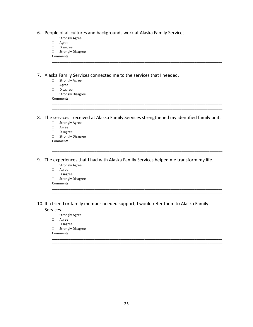|  | 6. People of all cultures and backgrounds work at Alaska Family Services. |  |  |  |
|--|---------------------------------------------------------------------------|--|--|--|
|--|---------------------------------------------------------------------------|--|--|--|

- □ Strongly Agree
- □ Agree
- □ Disagree
- □ Strongly Disagree
- Comments:

7. Alaska Family Services connected me to the services that I needed.

- □ Strongly Agree
- □ Agree
- □ Disagree
- □ Strongly Disagree
- Comments:

8. The services I received at Alaska Family Services strengthened my identified family unit.

\_\_\_\_\_\_\_\_\_\_\_\_\_\_\_\_\_\_\_\_\_\_\_\_\_\_\_\_\_\_\_\_\_\_\_\_\_\_\_\_\_\_\_\_\_\_\_\_\_\_\_\_\_\_\_\_\_\_\_\_\_\_\_\_\_\_\_\_\_\_\_\_\_\_\_\_\_\_\_\_\_\_\_\_\_\_\_\_\_\_\_\_ \_\_\_\_\_\_\_\_\_\_\_\_\_\_\_\_\_\_\_\_\_\_\_\_\_\_\_\_\_\_\_\_\_\_\_\_\_\_\_\_\_\_\_\_\_\_\_\_\_\_\_\_\_\_\_\_\_\_\_\_\_\_\_\_\_\_\_\_\_\_\_\_\_\_\_\_\_\_\_\_\_\_\_\_\_\_\_\_\_\_\_\_

\_\_\_\_\_\_\_\_\_\_\_\_\_\_\_\_\_\_\_\_\_\_\_\_\_\_\_\_\_\_\_\_\_\_\_\_\_\_\_\_\_\_\_\_\_\_\_\_\_\_\_\_\_\_\_\_\_\_\_\_\_\_\_\_\_\_\_\_\_\_\_\_\_\_\_\_\_\_\_\_\_\_\_\_\_\_\_\_\_\_\_\_ \_\_\_\_\_\_\_\_\_\_\_\_\_\_\_\_\_\_\_\_\_\_\_\_\_\_\_\_\_\_\_\_\_\_\_\_\_\_\_\_\_\_\_\_\_\_\_\_\_\_\_\_\_\_\_\_\_\_\_\_\_\_\_\_\_\_\_\_\_\_\_\_\_\_\_\_\_\_\_\_\_\_\_\_\_\_\_\_\_\_\_\_

\_\_\_\_\_\_\_\_\_\_\_\_\_\_\_\_\_\_\_\_\_\_\_\_\_\_\_\_\_\_\_\_\_\_\_\_\_\_\_\_\_\_\_\_\_\_\_\_\_\_\_\_\_\_\_\_\_\_\_\_\_\_\_\_\_\_\_\_\_\_\_\_\_\_\_\_\_\_\_\_\_\_\_\_\_\_\_\_\_\_\_\_ \_\_\_\_\_\_\_\_\_\_\_\_\_\_\_\_\_\_\_\_\_\_\_\_\_\_\_\_\_\_\_\_\_\_\_\_\_\_\_\_\_\_\_\_\_\_\_\_\_\_\_\_\_\_\_\_\_\_\_\_\_\_\_\_\_\_\_\_\_\_\_\_\_\_\_\_\_\_\_\_\_\_\_\_\_\_\_\_\_\_\_\_

\_\_\_\_\_\_\_\_\_\_\_\_\_\_\_\_\_\_\_\_\_\_\_\_\_\_\_\_\_\_\_\_\_\_\_\_\_\_\_\_\_\_\_\_\_\_\_\_\_\_\_\_\_\_\_\_\_\_\_\_\_\_\_\_\_\_\_\_\_\_\_\_\_\_\_\_\_\_\_\_\_\_\_\_\_\_\_\_\_\_\_\_ \_\_\_\_\_\_\_\_\_\_\_\_\_\_\_\_\_\_\_\_\_\_\_\_\_\_\_\_\_\_\_\_\_\_\_\_\_\_\_\_\_\_\_\_\_\_\_\_\_\_\_\_\_\_\_\_\_\_\_\_\_\_\_\_\_\_\_\_\_\_\_\_\_\_\_\_\_\_\_\_\_\_\_\_\_\_\_\_\_\_\_\_

\_\_\_\_\_\_\_\_\_\_\_\_\_\_\_\_\_\_\_\_\_\_\_\_\_\_\_\_\_\_\_\_\_\_\_\_\_\_\_\_\_\_\_\_\_\_\_\_\_\_\_\_\_\_\_\_\_\_\_\_\_\_\_\_\_\_\_\_\_\_\_\_\_\_\_\_\_\_\_\_\_\_\_\_\_\_\_\_\_\_\_\_ \_\_\_\_\_\_\_\_\_\_\_\_\_\_\_\_\_\_\_\_\_\_\_\_\_\_\_\_\_\_\_\_\_\_\_\_\_\_\_\_\_\_\_\_\_\_\_\_\_\_\_\_\_\_\_\_\_\_\_\_\_\_\_\_\_\_\_\_\_\_\_\_\_\_\_\_\_\_\_\_\_\_\_\_\_\_\_\_\_\_\_\_

- □ Strongly Agree
- □ Agree
- □ Disagree
- □ Strongly Disagree

Comments:

9. The experiences that I had with Alaska Family Services helped me transform my life.

- □ Strongly Agree
- □ Agree
- □ Disagree
- □ Strongly Disagree
- Comments:
- 10. If a friend or family member needed support, I would refer them to Alaska Family Services.
	- □ Strongly Agree
	- □ Agree
	- □ Disagree
	- □ Strongly Disagree

Comments: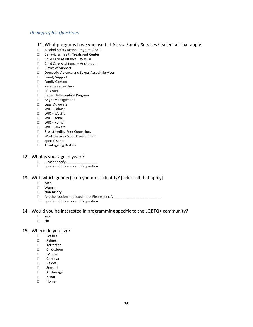#### *Demographic Questions*

- 11. What programs have you used at Alaska Family Services? [select all that apply]
- □ Alcohol Safety Action Program (ASAP)
- □ Behavioral Health Treatment Center
- □ Child Care Assistance Wasilla
- □ Child Care Assistance Anchorage
- □ Circles of Support
- □ Domestic Violence and Sexual Assault Services
- □ Family Support
- □ Family Contact
- □ Parents as Teachers
- □ FIT Court
- □ Batters Intervention Program
- □ Anger Management
- □ Legal Advocate
- □ WIC Palmer
- □ WIC Wasilla
- □ WIC Kenai
- □ WIC Homer
- □ WIC Seward
- □ Breastfeeding Peer Counselors
- □ Work Services & Job Development
- □ Special Santa
- □ Thanksgiving Baskets

#### 12. What is your age in years?

- □ Please specify:
- □ I prefer not to answer this question.

#### 13. With which gender(s) do you most identify? [select all that apply]

- □ Man
- □ Woman
- □ Non-binary
- □ Another option not listed here. Please specify:
- □ I prefer not to answer this question.

#### 14. Would you be interested in programming specific to the LQBTQ+ community?

- □ Yes
- □ No

### 15. Where do you live?<br>  $\Box$  Wasilla

- **Wasilla**
- □ Palmer
- □ Talkeetna
- □ Chickaloon
- □ Willow
- □ Cordova<br>□ Valdez
- □ Valdez
- □ Seward
- □ Anchorage
- □ Kenai
- □ Homer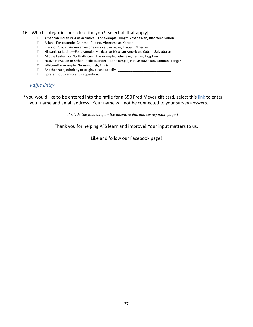#### 16. Which categories best describe you? [select all that apply]

- □ American Indian or Alaska Native—For example, Tlingit, Athabaskan, Blackfeet Nation
- □ Asian—For example, Chinese, Filipino, Vietnamese, Korean
- □ Black or African American—For example, Jamaican, Haitian, Nigerian
- □ Hispanic or Latino—For example, Mexican or Mexican American, Cuban, Salvadoran
- □ Middle Eastern or North African—For example, Lebanese, Iranian, Egyptian
- □ Native Hawaiian or Other Pacific Islander—For example, Native Hawaiian, Samoan, Tongan
- □ White—For example, German, Irish, English
- □ Another race, ethnicity or origin, please specify: \_
- □ I prefer not to answer this question.

#### *Raffle Entry*

If you would like to be entered into the raffle for a \$50 Fred Meyer gift card, select this link to enter your name and email address. Your name will not be connected to your survey answers.

*[Include the following on the incentive link and survey main page.]*

Thank you for helping AFS learn and improve! Your input matters to us.

Like and follow our Facebook page!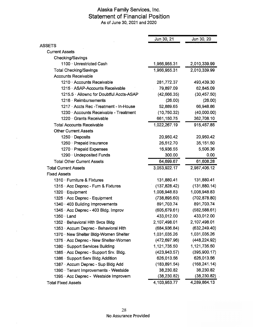#### Alaska Family Services, Inc. Statement of Financial Position As of June 30, 2021 and 2020

|                                          | Jun 30, 21    | Jun 30, 20    |
|------------------------------------------|---------------|---------------|
| <b>ASSETS</b>                            |               |               |
| <b>Current Assets</b>                    |               |               |
| Checking/Savings                         |               |               |
| 1100 · Unrestricted Cash                 | 1,966,955.31  | 2,010,339.99  |
| <b>Total Checking/Savings</b>            | 1,966,955.31  | 2,010,339.99  |
| <b>Accounts Receivable</b>               |               |               |
| 1210 Accounts Receivable                 | 281,772.37    | 493,439.30    |
| 1215 ASAP-Accounts Receivable            | 79,897.09     | 62,845.09     |
| 1215.5 · Allownc for Doubtful Accts-ASAP | (42, 666.35)  | (30, 457.50)  |
| 1216 Reimbursements                      | (26.00)       | (26.00)       |
| 1217 Accts Rec - Treatment - In-House    | 52,889.65     | 66,948.86     |
| 1230 Accounts Receivable - Treatment     | (10, 750.32)  | (40,000.00)   |
| 1220 Grants Receivable                   | 661,150.75    | 362,708.10    |
| <b>Total Accounts Receivable</b>         | 1,022,267.19  | 915,457.85    |
| <b>Other Current Assets</b>              |               |               |
| 1250 Deposits                            | 20,950.42     | 20,950.42     |
| 1260 Prepaid Insurance                   | 26,512.70     | 35,151.50     |
| 1270 Prepaid Expenses                    | 16,936.55     | 5,506.36      |
| 1290 · Undeposited Funds                 | 300.00        | 0.00          |
| <b>Total Other Current Assets</b>        | 64,699.67     | 61,608.28     |
| <b>Total Current Assets</b>              | 3,053,922.17  | 2,987,406.12  |
| <b>Fixed Assets</b>                      |               |               |
| 1310 · Furniture & Fixtures              | 131,880.41    | 131,880.41    |
| 1315 · Acc Deprec - Furn & Fixtures      | (137, 828.42) | (131, 880.14) |
| 1320 Equipment                           | 1,008,948.83  | 1,008,948.83  |
| 1325 · Acc Deprec - Equipment            | (738, 895.60) | (702, 878.80) |
| 1340 · 403 Building Improvements         | 891,703.74    | 891,703.74    |
| 1345 · Acc Deprec - 403 Bldg. Improv     | (605, 679.61) | (582, 588.61) |
| $1350 \cdot$ Land                        | 433,012.00    | 433,012.00    |
| 1352 · Behavioral Hith Svcs Bidg         | 2,107,498.01  | 2,107,498.01  |
| 1353 · Accum Deprec - Behavioral Hith    | (684, 936.84) | (632, 249.40) |
| 1370 · New Shelter Bldg-Women Shelter    | 1,031,035.26  | 1,031,035.26  |
| 1375 · Acc Deprec - New Shelter-Women    | (472, 697.96) | (448, 224.92) |
| 1380 · Support Services Building         | 1,121,735.50  | 1,121,735.50  |
| 1385 · Acc Deprec - Support Srv. Bldg.   | (423, 943.57) | (395,900.17)  |
| 1386 · Support Serv Bldg Addition        | 626,013.56    | 626,013.56    |
| 1387 · Accum Deprec - Sup Bldg Add       | (183, 891.54) | (168, 241.14) |
| 1390 · Tenant Improvements - Westside    | 38,230.82     | 38,230.82     |
| 1395 · Acc Deprec - Westside Improvem    | (38, 230.82)  | (38, 230.82)  |
| <b>Total Fixed Assets</b>                | 4,103,953.77  | 4,289,864.13  |

 $\sim$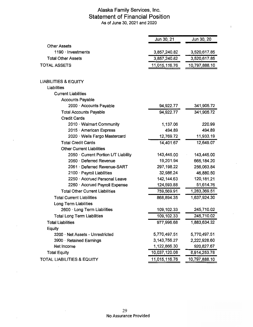#### Alaska Family Services, Inc. **Statement of Financial Position**  As of June 30, 2021 and 2020

|                                        | Jun 30, 21      | Jun 30, 20    |
|----------------------------------------|-----------------|---------------|
| <b>Other Assets</b>                    |                 |               |
| $1190 \cdot$ Investments               | 3,857,240.82    | 3,520,617.85  |
| <b>Total Other Assets</b>              | 3,857,240.82    | 3,520,617.85  |
| <b>TOTAL ASSETS</b>                    | 11,015,116.76   | 10,797,888.10 |
|                                        |                 |               |
| <b>LIABILITIES &amp; EQUITY</b>        |                 |               |
| Liabilities                            |                 |               |
| <b>Current Liabilities</b>             |                 |               |
| <b>Accounts Payable</b>                |                 |               |
| 2000 · Accounts Payable                | 94,922.77       | 341,905.72    |
| <b>Total Accounts Payable</b>          | 94,922.77       | 341,905.72    |
| <b>Credit Cards</b>                    |                 |               |
| 2010 · Walmart Community               | 1,137.06        | 220.99        |
| 2015 · American Express                | 494.89          | 494.89        |
| 2020 · Wells Fargo Mastercard          | 12,769.72       | 11,933.19     |
| <b>Total Credit Cards</b>              | 14,401.67       | 12,649.07     |
| <b>Other Current Liabilities</b>       |                 |               |
| 2050 Current Portion L/T Liability     | 143,445.00      | 143,445.00    |
| 2060 · Deferred Revenue                | 19,201.94       | 665,184.20    |
| 2061 Deferred Revenue-SART             | 297,198.22      | 256,063.84    |
| 2100 · Payroll Liabilities             | 32,986.24       | 46,880.50     |
| 2250 Accrued Personal Leave            | 142, 144.63     | 120, 181. 21  |
| 2260 · Accrued Payroll Expense         | 124,593.88      | 51,614.76     |
| <b>Total Other Current Liabilities</b> | 759,569.91      | 1,283,369.51  |
| <b>Total Current Liabilities</b>       | 868,894.35      | 1,637,924.30  |
| Long Term Liabilities                  |                 |               |
| 2600 · Long Term Liabilities           | 109,102.33      | 245,710.02    |
| <b>Total Long Term Liabilities</b>     | 109,102.33      | 245,710.02    |
| <b>Total Liabilities</b>               | 977,996.68      | 1,883,634.32  |
| Equity                                 |                 |               |
| 3200 · Net Assets - Unrestricted       | 5,770,497.51    | 5,770,497.51  |
| 3900 · Retained Earnings               | 3, 143, 756. 27 | 2,222,928.60  |
| Net Income                             | 1,122,866.30    | 920,827.67    |
| <b>Total Equity</b>                    | 10,037,120.08   | 8,914,253.78  |
| <b>TOTAL LIABILITIES &amp; EQUITY</b>  | 11,015,116.76   | 10,797,888.10 |
|                                        |                 |               |